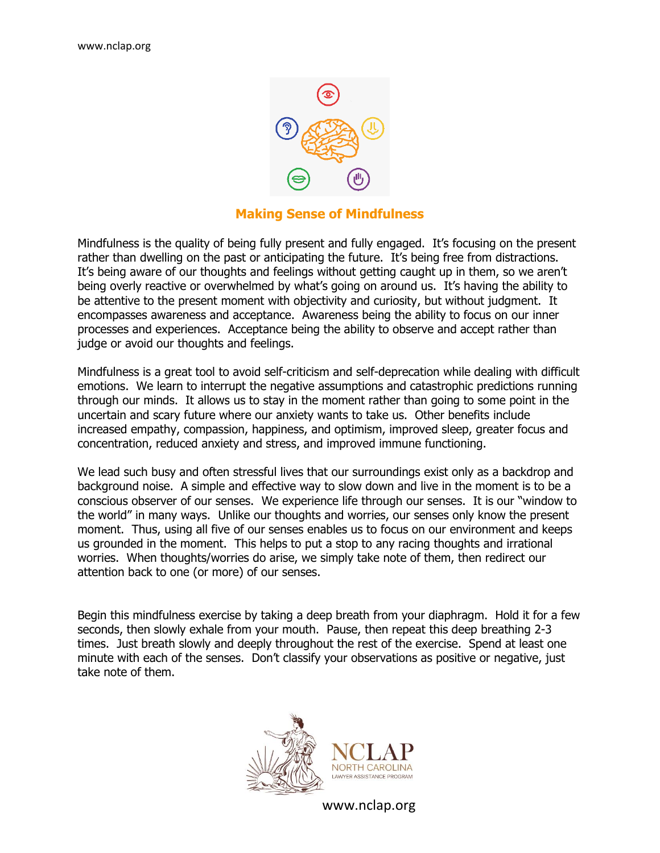

## **Making Sense of Mindfulness**

Mindfulness is the quality of being fully present and fully engaged. It's focusing on the present rather than dwelling on the past or anticipating the future. It's being free from distractions. It's being aware of our thoughts and feelings without getting caught up in them, so we aren't being overly reactive or overwhelmed by what's going on around us. It's having the ability to be attentive to the present moment with objectivity and curiosity, but without judgment. It encompasses awareness and acceptance. Awareness being the ability to focus on our inner processes and experiences. Acceptance being the ability to observe and accept rather than judge or avoid our thoughts and feelings.

Mindfulness is a great tool to avoid self-criticism and self-deprecation while dealing with difficult emotions. We learn to interrupt the negative assumptions and catastrophic predictions running through our minds. It allows us to stay in the moment rather than going to some point in the uncertain and scary future where our anxiety wants to take us. Other benefits include increased empathy, compassion, happiness, and optimism, improved sleep, greater focus and concentration, reduced anxiety and stress, and improved immune functioning.

We lead such busy and often stressful lives that our surroundings exist only as a backdrop and background noise. A simple and effective way to slow down and live in the moment is to be a conscious observer of our senses. We experience life through our senses. It is our "window to the world" in many ways. Unlike our thoughts and worries, our senses only know the present moment. Thus, using all five of our senses enables us to focus on our environment and keeps us grounded in the moment. This helps to put a stop to any racing thoughts and irrational worries. When thoughts/worries do arise, we simply take note of them, then redirect our attention back to one (or more) of our senses.

Begin this mindfulness exercise by taking a deep breath from your diaphragm. Hold it for a few seconds, then slowly exhale from your mouth. Pause, then repeat this deep breathing 2-3 times. Just breath slowly and deeply throughout the rest of the exercise. Spend at least one minute with each of the senses. Don't classify your observations as positive or negative, just take note of them.



www.nclap.org